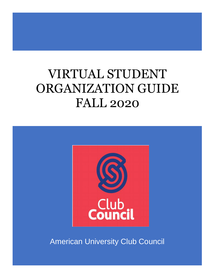# VIRTUAL STUDENT ORGANIZATION GUIDE FALL 2020



American University Club Council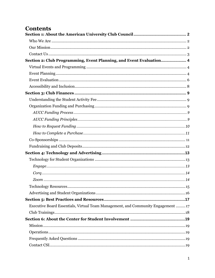# **Contents**

| Section 2: Club Programming, Event Planning, and Event Evaluation 4               |  |
|-----------------------------------------------------------------------------------|--|
|                                                                                   |  |
|                                                                                   |  |
|                                                                                   |  |
|                                                                                   |  |
|                                                                                   |  |
|                                                                                   |  |
|                                                                                   |  |
|                                                                                   |  |
|                                                                                   |  |
|                                                                                   |  |
|                                                                                   |  |
|                                                                                   |  |
|                                                                                   |  |
|                                                                                   |  |
|                                                                                   |  |
|                                                                                   |  |
|                                                                                   |  |
|                                                                                   |  |
|                                                                                   |  |
|                                                                                   |  |
|                                                                                   |  |
| Executive Board Essentials, Virtual Team Management, and Community Engagement  17 |  |
|                                                                                   |  |
|                                                                                   |  |
|                                                                                   |  |
|                                                                                   |  |
|                                                                                   |  |
|                                                                                   |  |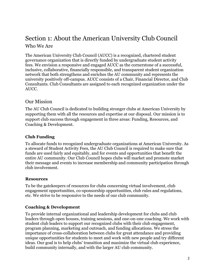# <span id="page-2-1"></span><span id="page-2-0"></span>Section 1: About the American University Club Council Who We Are

The American University Club Council (AUCC) is a recognized, chartered student governance organization that is directly funded by undergraduate student activity fees. We envision a responsive and engaged AUCC as the cornerstone of a successful, inclusive, collaborative, financially responsible, and transparent student organization network that both strengthens and enriches the AU community and represents the university positively off-campus. AUCC consists of a Chair, Financial Director, and Club Consultants. Club Consultants are assigned to each recognized organization under the AUCC.

# <span id="page-2-2"></span>Our Mission

The AU Club Council is dedicated to building stronger clubs at American University by supporting them with all the resources and expertise at our disposal. Our mission is to support club success through engagement in three areas: Funding, Resources, and Coaching & Development.

### **Club Funding**

To allocate funds to recognized undergraduate organizations at American University. As a steward of Student Activity Fees, the AU Club Council is required to make sure that funds are used fairly and equitably, and for events and opportunities that benefit the entire AU community. Our Club Council hopes clubs will market and promote market their message and events to increase membership and community participation through club involvement.

### **Resources**

To be the gatekeepers of resources for clubs concerning virtual involvement, club engagement opportunities, co-sponsorship opportunities, club rules and regulations, etc. We strive to be responsive to the needs of our club community.

### **Coaching & Development**

To provide internal organizational and leadership development for clubs and club leaders through open houses, training sessions, and one-on-one coaching. We work with student club leaders to support our recognized clubs with their club engagement, program planning, marketing and outreach, and funding allocations. We stress the importance of cross-collaboration between clubs for great attendance and providing unique opportunities for students to meet and work with new people and try different ideas. Our goal is to help clubs' transition and maximize the virtual club experience, build community internally, and with the larger AU club community.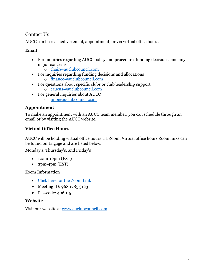# <span id="page-3-0"></span>Contact Us

AUCC can be reached via email, appointment, or via virtual office hours.

### **Email**

- For inquiries regarding AUCC policy and procedure, funding decisions, and any major concerns
	- o [chair@auclubcouncil.com](mailto:chair@auclubcouncil.com)
- For inquiries regarding funding decisions and allocations o [finance@auclubcouncil.com](mailto:finance@auclubcouncil.com)
- For questions about specific clubs or club leadership support
	- o [caucus@auclubcouncil.com](mailto:caucus@auclubcouncil.com)
- For general inquiries about AUCC
	- o [info@auclubcouncil.com](mailto:info@auclubcouncil.com)

# **Appointment**

To make an appointment with an AUCC team member, you can schedule through an email or by visiting the AUCC website.

# **Virtual Office Hours**

AUCC will be holding virtual office hours via Zoom. Virtual office hours Zoom links can be found on Engage and are listed below.

Monday's, Thursday's, and Friday's

- 10am-12pm (EST)
- 2pm-4pm (EST)

Zoom Information

- [Click here for the Zoom Link](https://american.zoom.us/j/96817853123?pwd=VW80Z0g1Ti9mSFplVHVPZFVLVmladz09)
- Meeting ID: 968 1785 3123
- Passcode: 406015

### **Website**

Visit our website at [www.auclubcouncil.com](http://www.auclubcouncil.com/)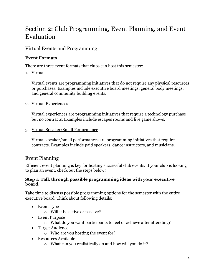# <span id="page-4-0"></span>Section 2: Club Programming, Event Planning, and Event Evaluation

# <span id="page-4-1"></span>Virtual Events and Programming

# **Event Formats**

There are three event formats that clubs can host this semester:

1. Virtual

Virtual events are programming initiatives that do not require any physical resources or purchases. Examples include executive board meetings, general body meetings, and general community building events.

2. Virtual Experiences

Virtual experiences are programming initiatives that require a technology purchase but no contracts. Examples include escapes rooms and live game shows.

### 3. Virtual Speaker/Small Performance

Virtual speaker/small performances are programming initiatives that require contracts. Examples include paid speakers, dance instructors, and musicians.

# <span id="page-4-2"></span>Event Planning

Efficient event planning is key for hosting successful club events. If your club is looking to plan an event, check out the steps below!

### **Step 1: Talk through possible programming ideas with your executive board.**

Take time to discuss possible programming options for the semester with the entire executive board. Think about following details:

- Event Type
	- o Will it be active or passive?
- Event Purpose
	- o What do you want participants to feel or achieve after attending?
- Target Audience
	- o Who are you hosting the event for?
- Resources Available
	- o What can you realistically do and how will you do it?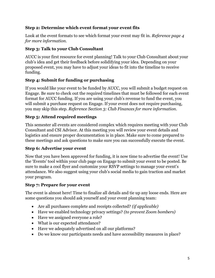### **Step 2: Determine which event format your event fits**

Look at the event formats to see which format your event may fit in. *Reference page 4 for more information.*

# **Step 3: Talk to your Club Consultant**

AUCC is your first resource for event planning! Talk to your Club Consultant about your club's idea and get their feedback before solidifying your idea. Depending on your proposed event, you may have to adjust your ideas to fit into the timeline to receive funding.

# **Step 4: Submit for funding or purchasing**

If you would like your event to be funded by AUCC, you will submit a budget request on Engage. Be sure to check out the required timelines that must be followed for each event format for AUCC funding. If you are using your club's revenue to fund the event, you will submit a purchase request on Engage. If your event does not require purchasing, you may skip this step. *Reference Section 3: Club Finances for more information.*

# **Step 5: Attend required meetings**

This semester all events are considered complex which requires meeting with your Club Consultant and CSI Advisor. At this meeting you will review your event details and logistics and ensure proper documentation is in place. Make sure to come prepared to these meetings and ask questions to make sure you can successfully execute the event.

# **Step 6: Advertise your event**

Now that you have been approved for funding, it is now time to advertise the event! Use the 'Events' tool within your club page on Engage to submit your event to be posted. Be sure to make a cool flyer and customize your RSVP settings to manage your event's attendance. We also suggest using your club's social media to gain traction and market your program.

# **Step 7: Prepare for your event**

The event is almost here! Time to finalize all details and tie up any loose ends. Here are some questions you should ask yourself and your event planning team:

- Are all purchases complete and receipts collected? *(if applicable)*
- Have we enabled technology privacy settings? *(to prevent Zoom bombers)*
- Have we assigned everyone a role?
- What is our expected attendance?
- Have we adequately advertised on all our platforms?
- Do we know our participants needs and have accessibility measures in place?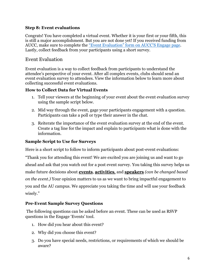### **Step 8: Event evaluations**

Congrats! You have completed a virtual event. Whether it is your first or your fifth, this is still a major accomplishment. But you are not done yet! If you received funding from AUCC, make sure to complete the "E[vent Evaluation](https://american.campuslabs.com/engage/organization/aucc)" form on AUCC'S Engage page. Lastly, collect feedback from your participants using a short survey.

### <span id="page-6-0"></span>Event Evaluation

Event evaluation is a way to collect feedback from participants to understand the attendee's perspective of your event. After all complex events, clubs should send an event evaluation survey to attendees. View the information below to learn more about collecting successful event evaluations.

### **How to Collect Data for Virtual Events**

- 1. Tell your viewers at the beginning of your event about the event evaluation survey using the sample script below.
- 2. Mid way through the event, gage your participants engagement with a question. Participants can take a poll or type their answer in the chat.
- 3. Reiterate the importance of the event evaluation survey at the end of the event. Create a tag line for the impact and explain to participants what is done with the information.

### **Sample Script to Use for Surveys**

Here is a short script to follow to inform participants about post-event evaluations:

"Thank you for attending this event! We are excited you are joining us and want to go ahead and ask that you watch out for a post event survey. You taking this survey helps us make future decisions about **events**, **activities**, and **speakers** *(can be changed based on the event.)* Your opinion matters to us as we want to bring impactful engagement to you and the AU campus. We appreciate you taking the time and will use your feedback wisely."

### **Pre-Event Sample Survey Questions**

The following questions can be asked before an event. These can be used as RSVP questions in the Engage 'Events' tool.

- 1. How did you hear about this event?
- 2. Why did you choose this event?
- 3. Do you have special needs, restrictions, or requirements of which we should be aware?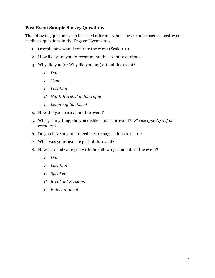### **Post Event Sample Survey Questions**

The following questions can be asked after an event. These can be used as post-event feedback questions in the Engage 'Events' tool.

- 1. Overall, how would you rate the event (Scale 1-10)
- 2. How likely are you to recommend this event to a friend?
- 3. Why did you (or Why did you not) attend this event?
	- *a. Date*
	- *b. Time*
	- *c. Location*
	- *d. Not Interested in the Topic*
	- *e. Length of the Event*
- 4. How did you learn about the event?
- 5. What, if anything, did you dislike about the event? *(Please type N/A if no response)*
- 6. Do you have any other feedback or suggestions to share?
- 7. What was your favorite part of the event?
- 8. How satisfied were you with the following elements of the event?
	- *a. Date*
	- *b. Location*
	- *c. Speaker*
	- *d. Breakout Sessions*
	- *e. Entertainment*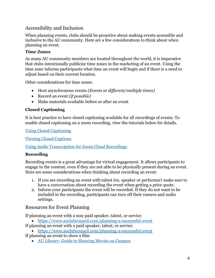# <span id="page-8-0"></span>Accessibility and Inclusion

When planning events, clubs should be proactive about making events accessible and inclusive to the AU community. Here are a few considerations to think about when planning an event.

# **Time Zones**

As many AU community members are located throughout the world, it is imperative that clubs intentionally publicize time zones in the marketing of an event. Using the time zone informs participants what time an event will begin and if there is a need to adjust based on their current location.

Other considerations for time zones:

- Host asynchronous events *(Events at different/multiple times)*
- Record an event *(if possible)*
- Make materials available before or after an event

# **Closed Captioning**

It is best practice to have closed captioning available for all recordings of events. To enable closed captioning on a zoom recording, view the tutorials below for details.

[Using Closed Captioning](https://support.zoom.us/hc/en-us/articles/207279736)

[Viewing Closed Captions](https://support.zoom.us/hc/en-us/articles/115003498783-Viewing-Closed-Captions)

[Using Audio Transcription for Zoom Cloud Recordings](https://support.zoom.us/hc/en-us/articles/115004794983-Using-audio-transcription-for-cloud-recordings-#:~:text=To%20enable%20the%20audio%20transcript,that%20the%20setting%20is%20enabled.)

# **Recording**

Recording events is a great advantage for virtual engagement. It allows participants to engage in the content, even if they are not able to be physically present during an event. Here are some considerations when thinking about recording an event:

- 1. If you are recording an event with talent (ex. speaker or performer) make sure to have a conversation about recording the event when getting a price quote.
- 2. Inform your participants the event will be recorded. If they do not want to be included in the recording, participants can turn off their camera and audio settings.

# Resources for Event Planning

If planning an event with a non-paid speaker, talent, or service

- <https://www.auclubcouncil.com/planning-a-successful-event>
- If planning an event with a paid speaker, talent, or service
- <https://www.auclubcouncil.com/planning-a-successful-event>
- If planning an event to show a film
	- AU Library- [Guide to Showing Movies on Campus](https://www.american.edu/library/documents/upload/guide-to-showing-movies-on-campus.pdf)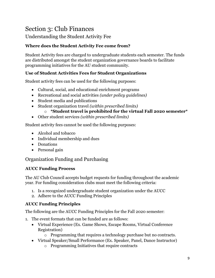# <span id="page-9-0"></span>Section 3: Club Finances

# <span id="page-9-1"></span>Understanding the Student Activity Fee

# **Where does the Student Activity Fee come from?**

Student Activity fees are charged to undergraduate students each semester. The funds are distributed amongst the student organization governance boards to facilitate programming initiatives for the AU student community.

### **Use of Student Activities Fees for Student Organizations**

Student activity fees can be used for the following purposes:

- Cultural, social, and educational enrichment programs
- Recreational and social activities *(under policy guidelines)*
- Student media and publications
- Student organization travel *(within prescribed limits)*
	- o **\*Student travel is prohibited for the virtual Fall 2020 semester\***
- Other student services *(within prescribed limits)*

Student activity fees cannot be used the following purposes:

- Alcohol and tobacco
- Individual membership and dues
- Donations
- Personal gain

# <span id="page-9-2"></span>Organization Funding and Purchasing

### <span id="page-9-3"></span>**AUCC Funding Process**

The AU Club Council accepts budget requests for funding throughout the academic year. For funding consideration clubs must meet the following criteria:

- 1. Is a recognized undergraduate student organization under the AUCC
- 2. Adhere to the AUCC Funding Principles

### <span id="page-9-4"></span>**AUCC Funding Principles**

The following are the AUCC Funding Principles for the Fall 2020 semester:

- 1. The event formats that can be funded are as follows:
	- Virtual Experience (Ex. Game Shows, Escape Rooms, Virtual Conference Registration)
		- o Programming that requires a technology purchase but no contracts.
	- Virtual Speaker/Small Performance (Ex. Speaker, Panel, Dance Instructor)
		- o Programming Initiatives that require contracts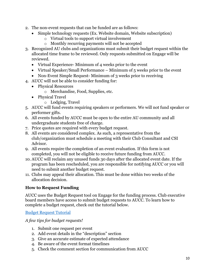- 2. The non-event requests that can be funded are as follows:
	- Simple technology requests (Ex. Website domain, Website subscription)
		- o Virtual tools to support virtual involvement
		- o Monthly recurring payments will not be accepted
- 3. Recognized AU clubs and organizations must submit their budget request within the allocated time frame to be reviewed. Only requests submitted on Engage will be reviewed.
	- Virtual Experience- Minimum of 4 weeks prior to the event
	- Virtual Speaker/Small Performance Minimum of 5 weeks prior to the event
	- Non-Event Simple Request-Minimum of 3 weeks prior to receiving
- 4. AUCC will not be able to consider funding for:
	- Physical Resources
		- o Merchandise, Food, Supplies, etc.
	- Physical Travel
		- o Lodging, Travel
- 5. AUCC will fund events requiring speakers or performers. We will not fund speaker or performer gifts.
- 6. All events funded by AUCC must be open to the entire AU community and all undergraduate students free of charge.
- 7. Price quotes are required with every budget request.
- 8. All events are considered complex. As such, a representative from the club/organization must schedule a meeting with their Club Consultant and CSI Advisor.
- 9. All events require the completion of an event evaluation. If this form is not completed, you will not be eligible to receive future funding from AUCC.
- 10. AUCC will reclaim any unused funds 30 days after the allocated event date. If the program has been rescheduled, you are responsible for notifying AUCC or you will need to submit another budget request.
- 11. Clubs may appeal their allocation. This must be done within two weeks of the allocation decision.

### <span id="page-10-0"></span>**How to Request Funding**

AUCC uses the Budget Request tool on Engage for the funding process. Club executive board members have access to submit budget requests to AUCC. To learn how to complete a budget request, check out the tutorial below.

[Budget Request Tutorial](https://www.youtube.com/watch?v=yjSbJsoX3T8)

*A few tips for budget requests!*

- 1. Submit one request per event
- 2. Add event details in the "description" section
- 3. Give an accurate estimate of expected attendance
- 4. Be aware of the event format timelines
- 5. Check the comment section for communication from AUCC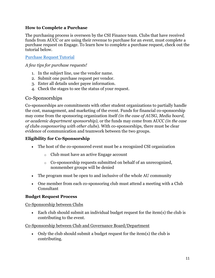### <span id="page-11-0"></span>**How to Complete a Purchase**

The purchasing process is overseen by the CSI Finance team. Clubs that have received funds from AUCC or are using their revenue to purchase for an event, must complete a purchase request on Engage. To learn how to complete a purchase request, check out the tutorial below.

#### [Purchase Request Tutorial](https://www.youtube.com/watch?v=BJtWLAWC8fc)

### *A few tips for purchase requests!*

- 1. In the subject line, use the vendor name.
- 2. Submit one purchase request per vendor.
- 3. Enter all details under payee information.
- 4. Check the stages to see the status of your request.

### <span id="page-11-1"></span>Co-Sponsorships

Co-sponsorships are commitments with other student organizations to partially handle the cost, management, and marketing of the event. Funds for financial co-sponsorship may come from the sponsoring organization itself *(in the case of AUSG, Media board, or academic department sponsorship),* or the funds may come from AUCC *(in the case of clubs cosponsoring with other clubs*). With co-sponsorships, there must be clear evidence of communication and teamwork between the two groups.

### **Eligibility for Co-Sponsorship**

- The host of the co-sponsored event must be a recognized CSI organization
	- o Club must have an active Engage account
	- o Co-sponsorship requests submitted on behalf of an unrecognized, nonmember groups will be denied
- The program must be open to and inclusive of the whole AU community
- One member from each co-sponsoring club must attend a meeting with a Club Consultant

### **Budget Request Process**

Co-Sponsorship between Clubs

• Each club should submit an individual budget request for the item(s) the club is contributing to the event.

### Co-Sponsorship between Club and Governance Board/Department

• Only the club should submit a budget request for the item(s) the club is contributing.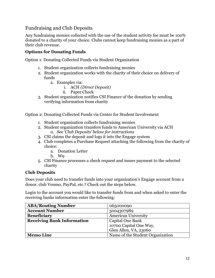<span id="page-12-0"></span>Fundraising and Club Deposits

Any fundraising monies collected with the use of the student activity fee must be 100% donated to a charity of your choice. Clubs cannot keep fundraising monies as a part of their club revenue.

### **Options for Donating Funds**

Option 1: Donating Collected Funds via Student Organization

- 1. Student organization collects fundraising monies
- 2. Student organization works with the charity of their choice on delivery of funds
	- a. Examples via:
		- i. ACH *(Direct Deposit)*
		- ii. Paper Check
- 3. Student organization notifies CSI Finance of the donation by sending verifying information from charity

Option 2: Donating Collected Funds via Center for Student Involvement

- 1. Student organization collects fundraising monies
- 2. Student organization transfers funds to American University via ACH *a. See 'Club Deposits' below for instructions*
- 3. CSI claims the deposit and logs it into the Engage system
- 4. Club completes a Purchase Request attaching the following from the charity of choice:
	- a. Donation Letter
	- b. W9
- 5. CSI Finance processes a check request and issues payment to the selected charity

### **Club Deposits**

Does your club need to transfer funds into your organization's Engage account from a donor, club Venmo, PayPal, etc.? Check out the steps below.

Login to the account you would like to transfer funds from and when asked to enter the receiving banks information enter the following:

| <b>ABA/Routing Number</b>         | 065000090                        |
|-----------------------------------|----------------------------------|
| <b>Account Number</b>             | 5004307989                       |
| <b>Beneficiary</b>                | <b>American University</b>       |
| <b>Receiving Bank Information</b> | Capital One Bank                 |
|                                   | 10700 Capital One Way,           |
|                                   | Glen Allen, VA, 23060            |
| <b>Memo Line</b>                  | Name of the Student Organization |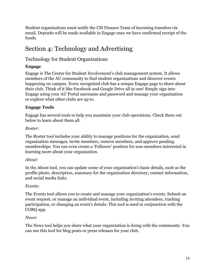Student organizations must notify the CSI Finance Team of incoming transfers via email. Deposits will be made available in Engage once we have confirmed receipt of the funds.

# <span id="page-13-0"></span>Section 4: Technology and Advertising

# <span id="page-13-1"></span>Technology for Student Organizations

# <span id="page-13-2"></span>**Engage**

Engage is The Center for Student Involvement's club management system. It allows members of the AU community to find student organizations and discover events happening on campus. Every recognized club has a unique Engage page to share about their club. Think of it like Facebook and Google Drive all in one! Simply sign into Engage using your AU Portal username and password and manage your organization or explore what other clubs are up to.

### **Engage Tools**

Engage has several tools to help you maximize your club operations. Check them out below to learn about them all.

### *Roster:*

The Roster tool includes your ability to manage positions for the organization, send organization messages, invite members, remove members, and approve pending memberships. You can even create a 'Follower' position for non-members interested in learning more about your organization.

### *About:*

In the About tool, you can update some of your organization's basic details, such as the profile photo, description, summary for the organization directory, contact information, and social media links.

### *Events:*

The Events tool allows you to create and manage your organization's events. Submit an event request, or manage an individual event, including inviting attendees, tracking participation, or changing an event's details. This tool is used in conjunction with the CORQ app.

### *News:*

The News tool helps you share what your organization is doing with the community. You can use this tool for blog posts or press releases for your club.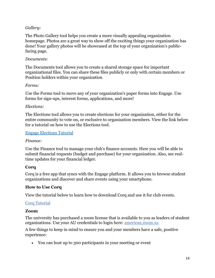### *Gallery:*

The Photo Gallery tool helps you create a more visually appealing organization homepage. Photos are a great way to show off the exciting things your organization has done! Your gallery photos will be showcased at the top of your organization's publicfacing page.

### *Documents:*

The Documents tool allows you to create a shared storage space for important organizational files. You can share these files publicly or only with certain members or Position holders within your organization

#### *Forms:*

Use the Forms tool to move any of your organization's paper forms into Engage. Use forms for sign-ups, interest forms, applications, and more!

### *Elections:*

The Elections tool allows you to create elections for your organization, either for the entire community to vote on, or exclusive to organization members. View the link below for a tutorial on how to use the Elections tool.

#### [Engage Elections Tutorial](https://www.youtube.com/watch?v=Rc1iP90DhyU&t=1s)

#### *Finance:*

Use the Finance tool to manage your club's finance accounts. Here you will be able to submit financial requests (budget and purchase) for your organization. Also, see realtime updates for your financial ledger.

### <span id="page-14-0"></span>**Corq**

Corq is a free app that syncs with the Engage platform. It allows you to browse student organizations and discover and share events using your smartphone.

### **How to Use Corq**

View the tutorial below to learn how to download Corq and use it for club events.

#### [Corq Tutorial](https://www.youtube.com/watch?v=0NwJUz7kt3s&t=4s)

#### <span id="page-14-1"></span>**Zoom**

The university has purchased a zoom license that is available to you as leaders of student organizations. Use your AU credentials to login here: [american.zoom.us](https://american.zoom.us/)

A few things to keep in mind to ensure you and your members have a safe, positive experience:

• You can host up to 300 participants in your meeting or event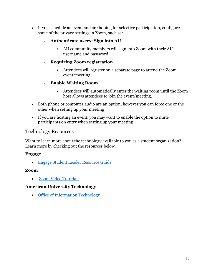• If you schedule an event and are hoping for selective participation, configure some of the privacy settings in Zoom, such as:

### o **Authenticate users: Sign into AU**

▪ AU community members will sign into Zoom with their AU username and password

### o **Requiring Zoom registration**

▪ Attendees will register on a separate page to attend the Zoom event/meeting.

### o **Enable Waiting Room**

- Attendees will automatically enter the waiting room until the Zoom host allows attendees to join the event/meeting.
- Both phone or computer audio are an option, however you can force one or the other when setting up your meeting
- If you are hosting an event, you may want to enable the option to mute participants on entry when setting up your meeting

### <span id="page-15-0"></span>Technology Resources

Want to learn more about the technology available to you as a student organization? Learn more by checking out the resources below.

### **Engage**

• [Engage Student Leader Resource Guide](https://engagesupport.campuslabs.com/hc/en-us/articles/360016011492-Student-Leader-Resource-Guide)

### **Zoom**

• [Zoom Video Tutorials](https://support.zoom.us/hc/en-us/articles/206618765-Zoom-Video-Tutorials)

### **American University Technology**

• [Office of Information Technology](https://www.american.edu/oit/)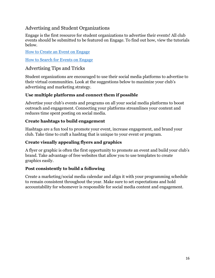# <span id="page-16-0"></span>Advertising and Student Organizations

Engage is the first resource for student organizations to advertise their events! All club events should be submitted to be featured on Engage. To find out how, view the tutorials below.

[How to Create an Event on Engage](https://www.youtube.com/watch?v=6xLIzh4K6dI&t=3s)

[How to Search for Events on Engage](https://www.youtube.com/watch?v=Aw5aITy9EAs&t=1s)

# Advertising Tips and Tricks

Student organizations are encouraged to use their social media platforms to advertise to their virtual communities. Look at the suggestions below to maximize your club's advertising and marketing strategy.

# **Use multiple platforms and connect them if possible**

Advertise your club's events and programs on all your social media platforms to boost outreach and engagement. Connecting your platforms streamlines your content and reduces time spent posting on social media.

### **Create hashtags to build engagement**

Hashtags are a fun tool to promote your event, increase engagement, and brand your club. Take time to craft a hashtag that is unique to your event or program.

# **Create visually appealing flyers and graphics**

A flyer or graphic is often the first opportunity to promote an event and build your club's brand. Take advantage of free websites that allow you to use templates to create graphics easily.

### **Post consistently to build a following**

Create a marketing/social media calendar and align it with your programming schedule to remain consistent throughout the year. Make sure to set expectations and hold accountability for whomever is responsible for social media content and engagement.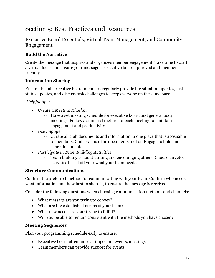# <span id="page-17-0"></span>Section 5: Best Practices and Resources

<span id="page-17-1"></span>Executive Board Essentials, Virtual Team Management, and Community Engagement

# **Build the Narrative**

Create the message that inspires and organizes member engagement. Take time to craft a virtual focus and ensure your message is executive board approved and member friendly.

### **Information Sharing**

Ensure that all executive board members regularly provide life situation updates, task status updates, and discuss task challenges to keep everyone on the same page.

### *Helpful tips:*

- *Create a Meeting Rhythm*
	- o Have a set meeting schedule for executive board and general body meetings. Follow a similar structure for each meeting to maintain engagement and productivity.
- *Use Engage*
	- o Curate all club documents and information in one place that is accessible to members. Clubs can use the documents tool on Engage to hold and share documents.
- *Participate in Team Building Activities*
	- o Team building is about uniting and encouraging others. Choose targeted activities based off your what your team needs.

### **Structure Communications**

Confirm the preferred method for communicating with your team. Confirm who needs what information and how best to share it, to ensure the message is received.

Consider the following questions when choosing communication methods and channels:

- What message are you trying to convey?
- What are the established norms of your team?
- What new needs are your trying to fulfill?
- Will you be able to remain consistent with the methods you have chosen?

### **Meeting Sequences**

Plan your programming schedule early to ensure:

- Executive board attendance at important events/meetings
- Team members can provide support for events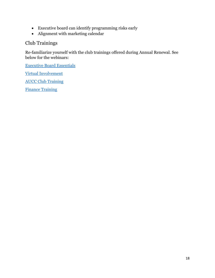- Executive board can identify programming risks early
- Alignment with marketing calendar

# <span id="page-18-0"></span>Club Trainings

Re-familiarize yourself with the club trainings offered during Annual Renewal. See below for the webinars:

[Executive Board Essentials](https://www.youtube.com/watch?v=m4vGwz2iTf8)

[Virtual Involvement](https://www.youtube.com/watch?v=IoJlRjQC-28)

[AUCC Club Training](https://www.youtube.com/watch?v=fl8JmuKTUbQ&t=1s)

[Finance Training](https://www.youtube.com/watch?v=_8jsBMlQvq8)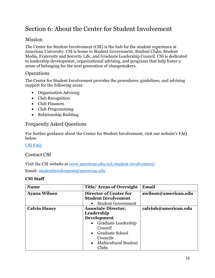# <span id="page-19-0"></span>Section 6: About the Center for Student Involvement

# <span id="page-19-1"></span>Mission

The Center for Student Involvement (CSI) is the hub for the student experience at American University. CSI is home to Student Government, Student Clubs, Student Media, Fraternity and Sorority Life, and Graduate Leadership Council. CSI is dedicated to leadership development, organizational advising, and programs that help foster a sense of belonging for the next generation of changemakers.

### <span id="page-19-2"></span>**Operations**

The Center for Student Involvement provides the procedures, guidelines, and advising support for the following areas:

- Organization Advising
- Club Recognition
- Club Finances
- Club Programming
- Relationship Building

# <span id="page-19-3"></span>Frequently Asked Questions

For further guidance about the Center for Student Involvement, visit our website's FAQ below.

[CSI FAQ](https://www.american.edu/ocl/student-involvement/frequently-asked-questions.cfm)

### <span id="page-19-4"></span>Contact CSI

Visit the CSI website at [www.american.edu/ocl/student-involvement/](http://www.american.edu/ocl/student-involvement/)

Email- [studentinvolvement@american.edu](mailto:studentinvolvement@american.edu)

### **CSI Staff**

| <b>Name</b>         | <b>Title/Areas of Oversight</b> | Email                |
|---------------------|---------------------------------|----------------------|
| <b>Ayana Wilson</b> | Director of Center for          | awilson@american.edu |
|                     | <b>Student Involvement</b>      |                      |
|                     | <b>Student Government</b>       |                      |
| <b>Calvin Haney</b> | <b>Associate Director,</b>      | calvinh@american.edu |
|                     | Leadership                      |                      |
|                     | <b>Development</b>              |                      |
|                     | • Graduate Leadership           |                      |
|                     | Council                         |                      |
|                     | • Graduate School               |                      |
|                     | Councils                        |                      |
|                     | • Multicultural Student         |                      |
|                     | Clubs                           |                      |